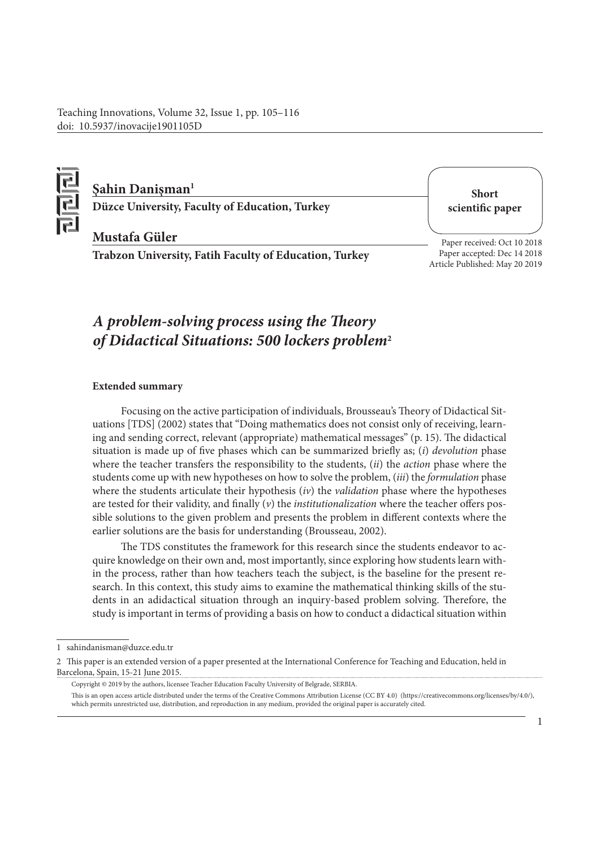Teaching Innovations, Volume 32, Issue 1, pp. 105–116 doi: 10.5937/inovacije1901105D



## **Şahin Danişman1**

**Düzce University, Faculty of Education, Turkey**

**Short scientific paper**

### **Mustafa Güler**

**Trabzon University, Fatih Faculty of Education, Turkey**

Paper received: Oct 10 2018 Paper accepted: Dec 14 2018 Article Published: May 20 2019

# *A problem-solving process using the Theory of Didactical Situations: 500 lockers problem***<sup>2</sup>**

### **Extended summary**

Focusing on the active participation of individuals, Brousseau's Theory of Didactical Situations [TDS] (2002) states that "Doing mathematics does not consist only of receiving, learning and sending correct, relevant (appropriate) mathematical messages" (p. 15). The didactical situation is made up of five phases which can be summarized briefly as; (*i*) *devolution* phase where the teacher transfers the responsibility to the students, (*ii*) the *action* phase where the students come up with new hypotheses on how to solve the problem, (*iii*) the *formulation* phase where the students articulate their hypothesis (*iv*) the *validation* phase where the hypotheses are tested for their validity, and finally (*v*) the *institutionalization* where the teacher offers possible solutions to the given problem and presents the problem in different contexts where the earlier solutions are the basis for understanding (Brousseau, 2002).

The TDS constitutes the framework for this research since the students endeavor to acquire knowledge on their own and, most importantly, since exploring how students learn within the process, rather than how teachers teach the subject, is the baseline for the present research. In this context, this study aims to examine the mathematical thinking skills of the students in an adidactical situation through an inquiry-based problem solving. Therefore, the study is important in terms of providing a basis on how to conduct a didactical situation within

This is an open access article distributed under the terms of the Creative Commons Attribution License (CC BY 4.0) (https://creativecommons.org/licenses/by/4.0/), which permits unrestricted use, distribution, and reproduction in any medium, provided the original paper is accurately cited.

<sup>1</sup> sahindanisman@duzce.edu.tr

<sup>2</sup> This paper is an extended version of a paper presented at the International Conference for Teaching and Education, held in Barcelona, Spain, 15-21 June 2015.

Copyright © 2019 by the authors, licensee Teacher Education Faculty University of Belgrade, SERBIA.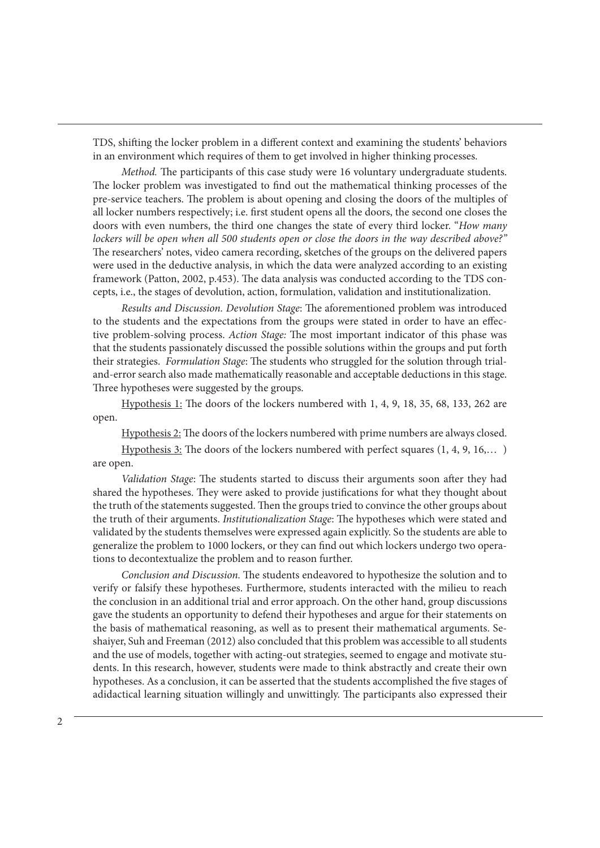TDS, shifting the locker problem in a different context and examining the students' behaviors in an environment which requires of them to get involved in higher thinking processes.

*Method.* The participants of this case study were 16 voluntary undergraduate students. The locker problem was investigated to find out the mathematical thinking processes of the pre-service teachers. The problem is about opening and closing the doors of the multiples of all locker numbers respectively; i.e. first student opens all the doors, the second one closes the doors with even numbers, the third one changes the state of every third locker. "*How many lockers will be open when all 500 students open or close the doors in the way described above?"* The researchers' notes, video camera recording, sketches of the groups on the delivered papers were used in the deductive analysis, in which the data were analyzed according to an existing framework (Patton, 2002, p.453). The data analysis was conducted according to the TDS concepts, i.e., the stages of devolution, action, formulation, validation and institutionalization.

*Results and Discussion. Devolution Stage*: The aforementioned problem was introduced to the students and the expectations from the groups were stated in order to have an effective problem-solving process. *Action Stage:* The most important indicator of this phase was that the students passionately discussed the possible solutions within the groups and put forth their strategies. *Formulation Stage*: The students who struggled for the solution through trialand-error search also made mathematically reasonable and acceptable deductions in this stage. Three hypotheses were suggested by the groups.

Hypothesis 1: The doors of the lockers numbered with 1, 4, 9, 18, 35, 68, 133, 262 are open.

Hypothesis 2: The doors of the lockers numbered with prime numbers are always closed.

Hypothesis 3: The doors of the lockers numbered with perfect squares (1, 4, 9, 16,… ) are open.

*Validation Stage*: The students started to discuss their arguments soon after they had shared the hypotheses. They were asked to provide justifications for what they thought about the truth of the statements suggested. Then the groups tried to convince the other groups about the truth of their arguments. *Institutionalization Stage*: The hypotheses which were stated and validated by the students themselves were expressed again explicitly. So the students are able to generalize the problem to 1000 lockers, or they can find out which lockers undergo two operations to decontextualize the problem and to reason further.

*Conclusion and Discussion.* The students endeavored to hypothesize the solution and to verify or falsify these hypotheses. Furthermore, students interacted with the milieu to reach the conclusion in an additional trial and error approach. On the other hand, group discussions gave the students an opportunity to defend their hypotheses and argue for their statements on the basis of mathematical reasoning, as well as to present their mathematical arguments. Seshaiyer, Suh and Freeman (2012) also concluded that this problem was accessible to all students and the use of models, together with acting-out strategies, seemed to engage and motivate students. In this research, however, students were made to think abstractly and create their own hypotheses. As a conclusion, it can be asserted that the students accomplished the five stages of adidactical learning situation willingly and unwittingly. The participants also expressed their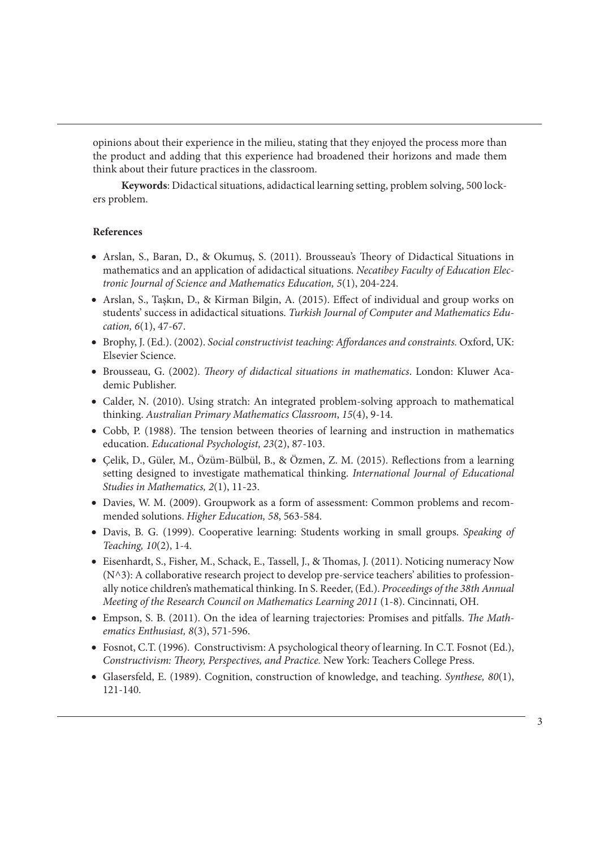opinions about their experience in the milieu, stating that they enjoyed the process more than the product and adding that this experience had broadened their horizons and made them think about their future practices in the classroom.

**Keywords**: Didactical situations, adidactical learning setting, problem solving, 500 lockers problem.

### **References**

- Arslan, S., Baran, D., & Okumuş, S. (2011). Brousseau's Theory of Didactical Situations in mathematics and an application of adidactical situations. *Necatibey Faculty of Education Electronic Journal of Science and Mathematics Education, 5*(1), 204-224.
- Arslan, S., Taşkın, D., & Kirman Bilgin, A. (2015). Effect of individual and group works on students' success in adidactical situations. *Turkish Journal of Computer and Mathematics Education, 6*(1), 47-67.
- Brophy, J. (Ed.). (2002). *Social constructivist teaching: Affordances and constraints.* Oxford, UK: Elsevier Science.
- Brousseau, G. (2002). *Theory of didactical situations in mathematics*. London: Kluwer Academic Publisher.
- Calder, N. (2010). Using stratch: An integrated problem-solving approach to mathematical thinking. *Australian Primary Mathematics Classroom*, *15*(4), 9-14.
- Cobb, P. (1988). The tension between theories of learning and instruction in mathematics education. *Educational Psychologist, 23*(2), 87-103.
- Çelik, D., Güler, M., Özüm-Bülbül, B., & Özmen, Z. M. (2015). Reflections from a learning setting designed to investigate mathematical thinking. *International Journal of Educational Studies in Mathematics, 2*(1), 11-23.
- Davies, W. M. (2009). Groupwork as a form of assessment: Common problems and recommended solutions. *Higher Education, 58*, 563-584.
- Davis, B. G. (1999). Cooperative learning: Students working in small groups. *Speaking of Teaching, 10*(2), 1-4.
- Eisenhardt, S., Fisher, M., Schack, E., Tassell, J., & Thomas, J. (2011). Noticing numeracy Now (N^3): A collaborative research project to develop pre-service teachers' abilities to professionally notice children's mathematical thinking. In S. Reeder, (Ed.). *Proceedings of the 38th Annual Meeting of the Research Council on Mathematics Learning 2011* (1-8). Cincinnati, OH.
- Empson, S. B. (2011). On the idea of learning trajectories: Promises and pitfalls. *The Mathematics Enthusiast, 8*(3), 571-596.
- Fosnot, C.T. (1996). Constructivism: A psychological theory of learning. In C.T. Fosnot (Ed.), *Constructivism: Theory, Perspectives, and Practice.* New York: Teachers College Press.
- Glasersfeld, E. (1989). Cognition, construction of knowledge, and teaching. *Synthese, 80*(1), 121-140.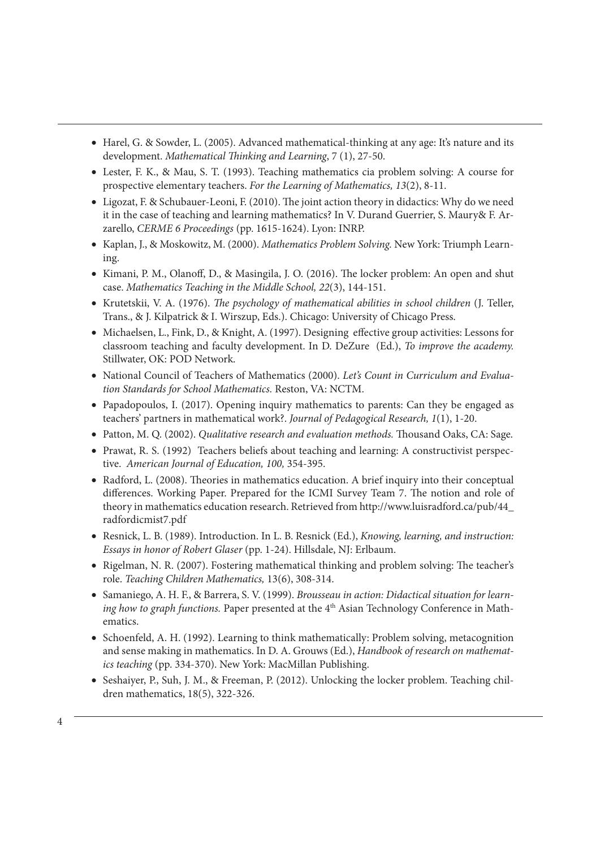- Harel, G. & Sowder, L. (2005). Advanced mathematical-thinking at any age: It's nature and its development. *Mathematical Thinking and Learning*, 7 (1), 27-50.
- Lester, F. K., & Mau, S. T. (1993). Teaching mathematics cia problem solving: A course for prospective elementary teachers. *For the Learning of Mathematics, 13*(2), 8-11.
- Ligozat, F. & Schubauer-Leoni, F. (2010). The joint action theory in didactics: Why do we need it in the case of teaching and learning mathematics? In V. Durand Guerrier, S. Maury& F. Arzarello, *CERME 6 Proceedings* (pp. 1615-1624). Lyon: INRP.
- Kaplan, J., & Moskowitz, M. (2000). *Mathematics Problem Solving.* New York: Triumph Learning.
- Kimani, P. M., Olanoff, D., & Masingila, J. O. (2016). The locker problem: An open and shut case. *Mathematics Teaching in the Middle School, 22*(3), 144-151.
- Krutetskii, V. A. (1976). *The psychology of mathematical abilities in school children* (J. Teller, Trans., & J. Kilpatrick & I. Wirszup, Eds.). Chicago: University of Chicago Press.
- Michaelsen, L., Fink, D., & Knight, A. (1997). Designing effective group activities: Lessons for classroom teaching and faculty development. In D. DeZure (Ed.), *To improve the academy.*  Stillwater, OK: POD Network.
- National Council of Teachers of Mathematics (2000). *Let's Count in Curriculum and Evaluation Standards for School Mathematics.* Reston, VA: NCTM.
- Papadopoulos, I. (2017). Opening inquiry mathematics to parents: Can they be engaged as teachers' partners in mathematical work?. *Journal of Pedagogical Research, 1*(1), 1-20.
- Patton, M. Q. (2002). *Qualitative research and evaluation methods.* Thousand Oaks, CA: Sage.
- Prawat, R. S. (1992) Teachers beliefs about teaching and learning: A constructivist perspective. *American Journal of Education, 100,* 354-395.
- Radford, L. (2008). Theories in mathematics education. A brief inquiry into their conceptual differences. Working Paper. Prepared for the ICMI Survey Team 7. The notion and role of theory in mathematics education research. Retrieved from http://www.luisradford.ca/pub/44\_ radfordicmist7.pdf
- Resnick, L. B. (1989). Introduction. In L. B. Resnick (Ed.), *Knowing, learning, and instruction: Essays in honor of Robert Glaser* (pp. 1-24). Hillsdale, NJ: Erlbaum.
- Rigelman, N. R. (2007). Fostering mathematical thinking and problem solving: The teacher's role. *Teaching Children Mathematics,* 13(6), 308-314.
- Samaniego, A. H. F., & Barrera, S. V. (1999). *Brousseau in action: Didactical situation for learning how to graph functions*. Paper presented at the 4<sup>th</sup> Asian Technology Conference in Mathematics.
- Schoenfeld, A. H. (1992). Learning to think mathematically: Problem solving, metacognition and sense making in mathematics. In D. A. Grouws (Ed.), *Handbook of research on mathematics teaching* (pp. 334-370). New York: MacMillan Publishing.
- Seshaiyer, P., Suh, J. M., & Freeman, P. (2012). Unlocking the locker problem. Teaching children mathematics, 18(5), 322-326.